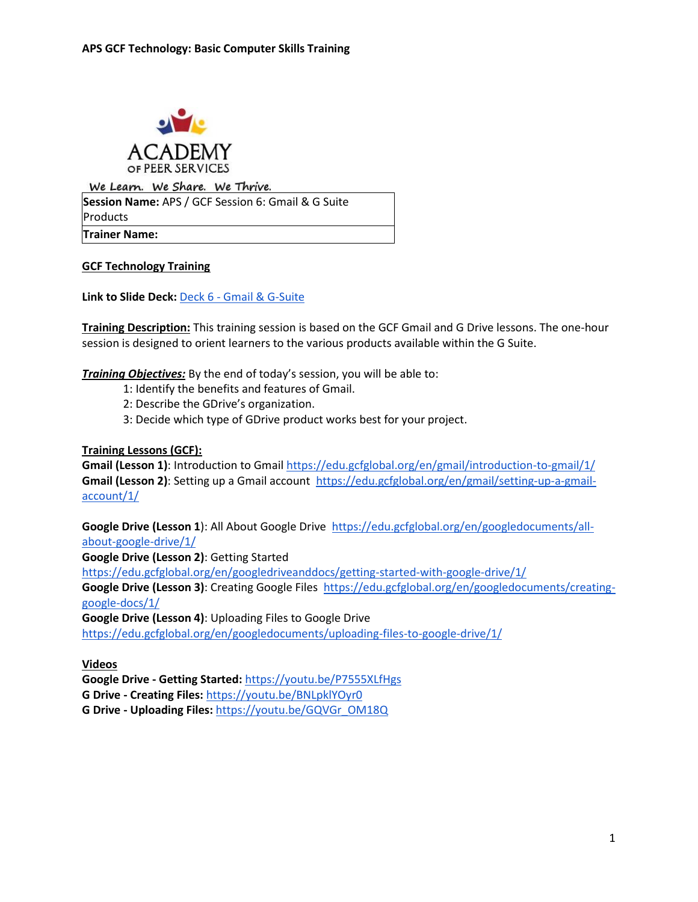

We Learn. We Share. We Thrive. **Session Name:** APS / GCF Session 6: Gmail & G Suite Products **Trainer Name:** 

**GCF Technology Training** 

**Link to Slide Deck:** Deck 6 - [Gmail & G-Suite](https://docs.google.com/presentation/d/1WqedQoAiK1Nai6i8nHYkgyENzWXwBN_L/edit?usp=sharing&ouid=118182945340796067494&rtpof=true&sd=true)

**Training Description:** This training session is based on the GCF Gmail and G Drive lessons. The one-hour session is designed to orient learners to the various products available within the G Suite.

*Training Objectives:* By the end of today's session, you will be able to:

- 1: Identify the benefits and features of Gmail.
- 2: Describe the GDrive's organization.
- 3: Decide which type of GDrive product works best for your project.

**Training Lessons (GCF):** 

**Gmail (Lesson 1)**: Introduction to Gmail<https://edu.gcfglobal.org/en/gmail/introduction-to-gmail/1/> **Gmail (Lesson 2)**: Setting up a Gmail account [https://edu.gcfglobal.org/en/gmail/setting-up-a-gmail](https://edu.gcfglobal.org/en/gmail/setting-up-a-gmail-account/1/)[account/1/](https://edu.gcfglobal.org/en/gmail/setting-up-a-gmail-account/1/)

**Google Drive (Lesson 1**): All About Google Drive [https://edu.gcfglobal.org/en/googledocuments/all](https://edu.gcfglobal.org/en/googledocuments/all-about-google-drive/1/)[about-google-drive/1/](https://edu.gcfglobal.org/en/googledocuments/all-about-google-drive/1/)

**Google Drive (Lesson 2)**: Getting Started

<https://edu.gcfglobal.org/en/googledriveanddocs/getting-started-with-google-drive/1/>

**Google Drive (Lesson 3)**: Creating Google Files [https://edu.gcfglobal.org/en/googledocuments/creating](https://edu.gcfglobal.org/en/googledocuments/creating-google-docs/1/)[google-docs/1/](https://edu.gcfglobal.org/en/googledocuments/creating-google-docs/1/)

**Google Drive (Lesson 4)**: Uploading Files to Google Drive <https://edu.gcfglobal.org/en/googledocuments/uploading-files-to-google-drive/1/>

**Videos**

**Google Drive - Getting Started:** <https://youtu.be/P7555XLfHgs> **G Drive - Creating Files:** <https://youtu.be/BNLpklYOyr0>

**G Drive - Uploading Files:** [https://youtu.be/GQVGr\\_OM18Q](https://youtu.be/GQVGr_OM18Q)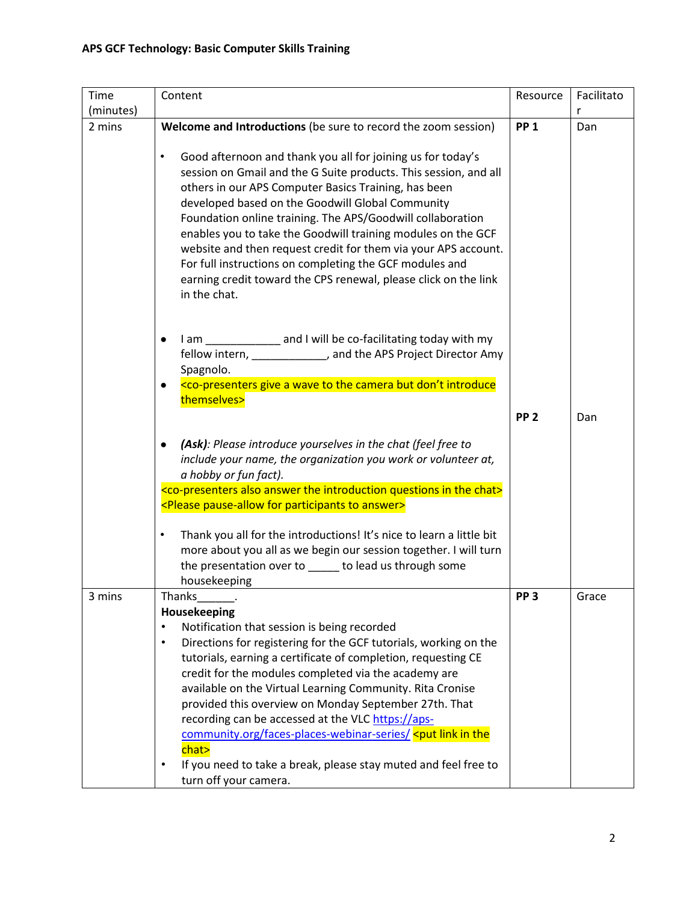| Time      | Content                                                                                                                                                                                                                                                                                                                                                                                                                                                                                                                                                                                                                                                                                                    | Resource        | Facilitato |
|-----------|------------------------------------------------------------------------------------------------------------------------------------------------------------------------------------------------------------------------------------------------------------------------------------------------------------------------------------------------------------------------------------------------------------------------------------------------------------------------------------------------------------------------------------------------------------------------------------------------------------------------------------------------------------------------------------------------------------|-----------------|------------|
| (minutes) |                                                                                                                                                                                                                                                                                                                                                                                                                                                                                                                                                                                                                                                                                                            |                 | r          |
| 2 mins    | Welcome and Introductions (be sure to record the zoom session)                                                                                                                                                                                                                                                                                                                                                                                                                                                                                                                                                                                                                                             | <b>PP 1</b>     | Dan        |
|           | Good afternoon and thank you all for joining us for today's<br>$\bullet$<br>session on Gmail and the G Suite products. This session, and all<br>others in our APS Computer Basics Training, has been<br>developed based on the Goodwill Global Community<br>Foundation online training. The APS/Goodwill collaboration<br>enables you to take the Goodwill training modules on the GCF<br>website and then request credit for them via your APS account.<br>For full instructions on completing the GCF modules and<br>earning credit toward the CPS renewal, please click on the link<br>in the chat.                                                                                                     |                 |            |
|           | I am _____________ and I will be co-facilitating today with my<br>$\bullet$<br>fellow intern, _____________, and the APS Project Director Amy<br>Spagnolo.<br><co-presenters a="" but="" camera="" don't="" give="" introduce<br="" the="" to="" wave="">themselves&gt;</co-presenters>                                                                                                                                                                                                                                                                                                                                                                                                                    |                 |            |
|           |                                                                                                                                                                                                                                                                                                                                                                                                                                                                                                                                                                                                                                                                                                            | PP <sub>2</sub> | Dan        |
|           | (Ask): Please introduce yourselves in the chat (feel free to<br>include your name, the organization you work or volunteer at,<br>a hobby or fun fact).<br><co-presenters also="" answer="" chat="" in="" introduction="" questions="" the=""><br/><please answer="" for="" participants="" pause-allow="" to=""><br/>Thank you all for the introductions! It's nice to learn a little bit<br/><math display="inline">\bullet</math></please></co-presenters>                                                                                                                                                                                                                                               |                 |            |
|           | more about you all as we begin our session together. I will turn<br>the presentation over to _____ to lead us through some                                                                                                                                                                                                                                                                                                                                                                                                                                                                                                                                                                                 |                 |            |
|           | housekeeping                                                                                                                                                                                                                                                                                                                                                                                                                                                                                                                                                                                                                                                                                               |                 |            |
| 3 mins    | Thanks_<br>Housekeeping<br>Notification that session is being recorded<br>$\bullet$<br>Directions for registering for the GCF tutorials, working on the<br>$\bullet$<br>tutorials, earning a certificate of completion, requesting CE<br>credit for the modules completed via the academy are<br>available on the Virtual Learning Community. Rita Cronise<br>provided this overview on Monday September 27th. That<br>recording can be accessed at the VLC https://aps-<br>community.org/faces-places-webinar-series/ <put in="" link="" the<br="">chat&gt;<br/>If you need to take a break, please stay muted and feel free to<br/><math display="inline">\bullet</math><br/>turn off your camera.</put> | PP <sub>3</sub> | Grace      |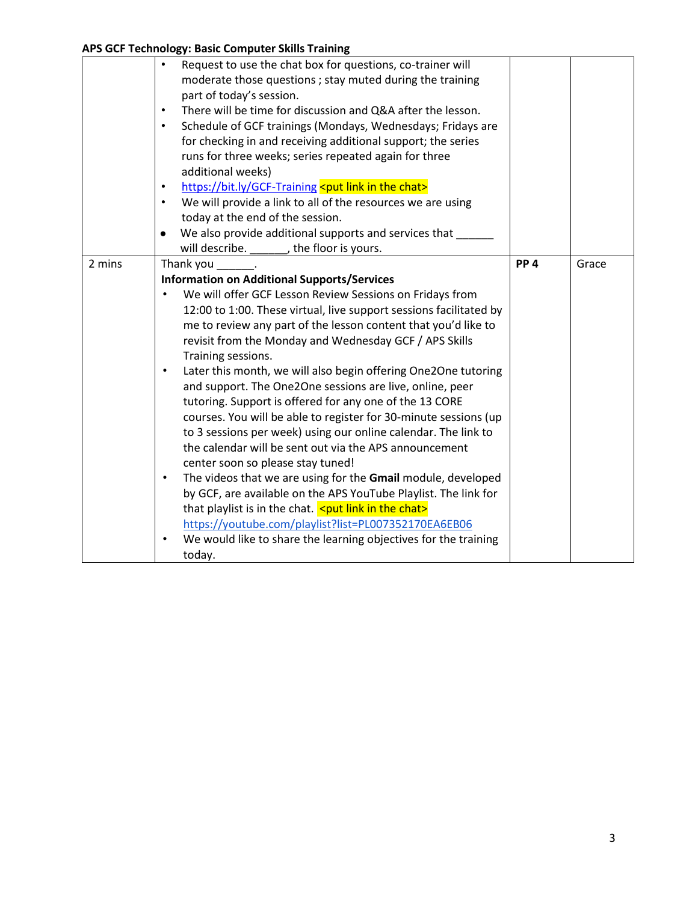|        | $\sim$                                                                                                                                                                                                                                                                                                                                                                                                                                                                                                                                                                                                                                                                                                                                                                    |                 |       |
|--------|---------------------------------------------------------------------------------------------------------------------------------------------------------------------------------------------------------------------------------------------------------------------------------------------------------------------------------------------------------------------------------------------------------------------------------------------------------------------------------------------------------------------------------------------------------------------------------------------------------------------------------------------------------------------------------------------------------------------------------------------------------------------------|-----------------|-------|
|        | Request to use the chat box for questions, co-trainer will<br>$\bullet$<br>moderate those questions; stay muted during the training<br>part of today's session.<br>There will be time for discussion and Q&A after the lesson.<br>$\bullet$<br>Schedule of GCF trainings (Mondays, Wednesdays; Fridays are<br>$\bullet$<br>for checking in and receiving additional support; the series<br>runs for three weeks; series repeated again for three<br>additional weeks)<br>https://bit.ly/GCF-Training <put chat="" in="" link="" the=""><br/>٠<br/>We will provide a link to all of the resources we are using<br/>٠<br/>today at the end of the session.<br/>We also provide additional supports and services that<br/>will describe. ________, the floor is yours.</put> |                 |       |
| 2 mins | Thank you                                                                                                                                                                                                                                                                                                                                                                                                                                                                                                                                                                                                                                                                                                                                                                 | PP <sub>4</sub> | Grace |
|        | <b>Information on Additional Supports/Services</b>                                                                                                                                                                                                                                                                                                                                                                                                                                                                                                                                                                                                                                                                                                                        |                 |       |
|        | We will offer GCF Lesson Review Sessions on Fridays from                                                                                                                                                                                                                                                                                                                                                                                                                                                                                                                                                                                                                                                                                                                  |                 |       |
|        | 12:00 to 1:00. These virtual, live support sessions facilitated by                                                                                                                                                                                                                                                                                                                                                                                                                                                                                                                                                                                                                                                                                                        |                 |       |
|        | me to review any part of the lesson content that you'd like to                                                                                                                                                                                                                                                                                                                                                                                                                                                                                                                                                                                                                                                                                                            |                 |       |
|        | revisit from the Monday and Wednesday GCF / APS Skills                                                                                                                                                                                                                                                                                                                                                                                                                                                                                                                                                                                                                                                                                                                    |                 |       |
|        | Training sessions.                                                                                                                                                                                                                                                                                                                                                                                                                                                                                                                                                                                                                                                                                                                                                        |                 |       |
|        | Later this month, we will also begin offering One2One tutoring<br>$\bullet$                                                                                                                                                                                                                                                                                                                                                                                                                                                                                                                                                                                                                                                                                               |                 |       |
|        | and support. The One2One sessions are live, online, peer                                                                                                                                                                                                                                                                                                                                                                                                                                                                                                                                                                                                                                                                                                                  |                 |       |
|        | tutoring. Support is offered for any one of the 13 CORE                                                                                                                                                                                                                                                                                                                                                                                                                                                                                                                                                                                                                                                                                                                   |                 |       |
|        | courses. You will be able to register for 30-minute sessions (up                                                                                                                                                                                                                                                                                                                                                                                                                                                                                                                                                                                                                                                                                                          |                 |       |
|        | to 3 sessions per week) using our online calendar. The link to                                                                                                                                                                                                                                                                                                                                                                                                                                                                                                                                                                                                                                                                                                            |                 |       |
|        | the calendar will be sent out via the APS announcement                                                                                                                                                                                                                                                                                                                                                                                                                                                                                                                                                                                                                                                                                                                    |                 |       |
|        | center soon so please stay tuned!                                                                                                                                                                                                                                                                                                                                                                                                                                                                                                                                                                                                                                                                                                                                         |                 |       |
|        | The videos that we are using for the Gmail module, developed<br>$\bullet$                                                                                                                                                                                                                                                                                                                                                                                                                                                                                                                                                                                                                                                                                                 |                 |       |
|        | by GCF, are available on the APS YouTube Playlist. The link for                                                                                                                                                                                                                                                                                                                                                                                                                                                                                                                                                                                                                                                                                                           |                 |       |
|        | that playlist is in the chat. $\leq$ put link in the chat>                                                                                                                                                                                                                                                                                                                                                                                                                                                                                                                                                                                                                                                                                                                |                 |       |
|        | https://youtube.com/playlist?list=PL007352170EA6EB06<br>$\bullet$                                                                                                                                                                                                                                                                                                                                                                                                                                                                                                                                                                                                                                                                                                         |                 |       |
|        | We would like to share the learning objectives for the training                                                                                                                                                                                                                                                                                                                                                                                                                                                                                                                                                                                                                                                                                                           |                 |       |
|        | today.                                                                                                                                                                                                                                                                                                                                                                                                                                                                                                                                                                                                                                                                                                                                                                    |                 |       |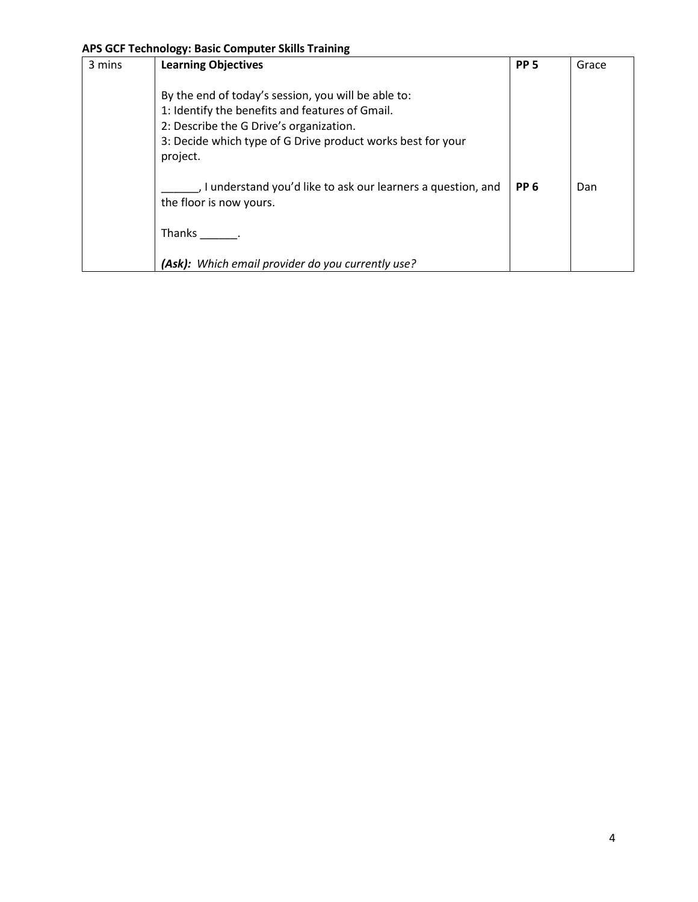| 3 mins | <b>Learning Objectives</b>                                                                                                                                                                                                   | PP <sub>5</sub> | Grace |
|--------|------------------------------------------------------------------------------------------------------------------------------------------------------------------------------------------------------------------------------|-----------------|-------|
|        | By the end of today's session, you will be able to:<br>1: Identify the benefits and features of Gmail.<br>2: Describe the G Drive's organization.<br>3: Decide which type of G Drive product works best for your<br>project. |                 |       |
|        | , I understand you'd like to ask our learners a question, and<br>the floor is now yours.                                                                                                                                     | PP <sub>6</sub> | Dan   |
|        | Thanks                                                                                                                                                                                                                       |                 |       |
|        | (Ask): Which email provider do you currently use?                                                                                                                                                                            |                 |       |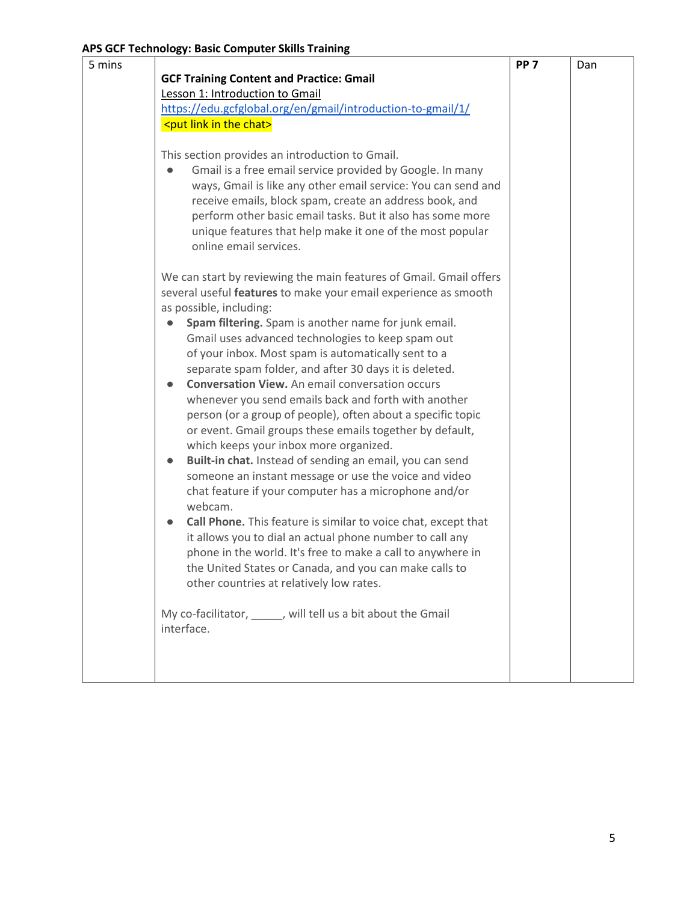| 5 mins |                                                                    | PP <sub>7</sub> | Dan |
|--------|--------------------------------------------------------------------|-----------------|-----|
|        | <b>GCF Training Content and Practice: Gmail</b>                    |                 |     |
|        | Lesson 1: Introduction to Gmail                                    |                 |     |
|        | https://edu.gcfglobal.org/en/gmail/introduction-to-gmail/1/        |                 |     |
|        | <put chat="" in="" link="" the=""></put>                           |                 |     |
|        |                                                                    |                 |     |
|        | This section provides an introduction to Gmail.                    |                 |     |
|        | Gmail is a free email service provided by Google. In many          |                 |     |
|        | ways, Gmail is like any other email service: You can send and      |                 |     |
|        | receive emails, block spam, create an address book, and            |                 |     |
|        | perform other basic email tasks. But it also has some more         |                 |     |
|        | unique features that help make it one of the most popular          |                 |     |
|        | online email services.                                             |                 |     |
|        | We can start by reviewing the main features of Gmail. Gmail offers |                 |     |
|        | several useful features to make your email experience as smooth    |                 |     |
|        | as possible, including:                                            |                 |     |
|        | Spam filtering. Spam is another name for junk email.               |                 |     |
|        | Gmail uses advanced technologies to keep spam out                  |                 |     |
|        | of your inbox. Most spam is automatically sent to a                |                 |     |
|        | separate spam folder, and after 30 days it is deleted.             |                 |     |
|        | <b>Conversation View.</b> An email conversation occurs             |                 |     |
|        | whenever you send emails back and forth with another               |                 |     |
|        | person (or a group of people), often about a specific topic        |                 |     |
|        | or event. Gmail groups these emails together by default,           |                 |     |
|        | which keeps your inbox more organized.                             |                 |     |
|        | Built-in chat. Instead of sending an email, you can send           |                 |     |
|        | someone an instant message or use the voice and video              |                 |     |
|        | chat feature if your computer has a microphone and/or<br>webcam.   |                 |     |
|        | Call Phone. This feature is similar to voice chat, except that     |                 |     |
|        | it allows you to dial an actual phone number to call any           |                 |     |
|        | phone in the world. It's free to make a call to anywhere in        |                 |     |
|        | the United States or Canada, and you can make calls to             |                 |     |
|        | other countries at relatively low rates.                           |                 |     |
|        |                                                                    |                 |     |
|        | My co-facilitator, _____, will tell us a bit about the Gmail       |                 |     |
|        | interface.                                                         |                 |     |
|        |                                                                    |                 |     |
|        |                                                                    |                 |     |
|        |                                                                    |                 |     |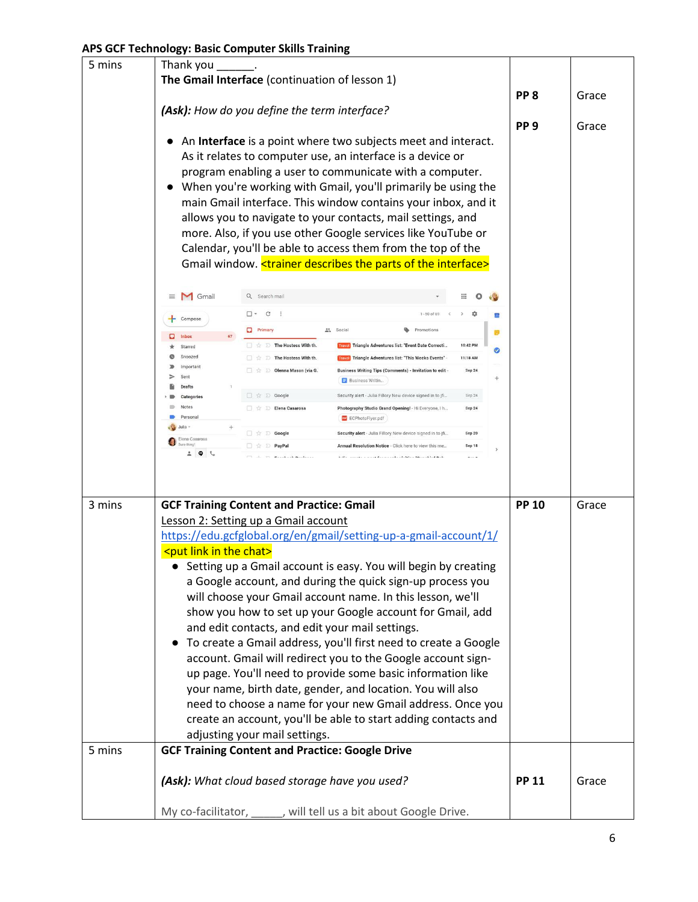| 5 mins                                                           | Thank you                                                                                                                    |                                                                                   |                                                                                                                      |                |                  |                 |       |
|------------------------------------------------------------------|------------------------------------------------------------------------------------------------------------------------------|-----------------------------------------------------------------------------------|----------------------------------------------------------------------------------------------------------------------|----------------|------------------|-----------------|-------|
|                                                                  |                                                                                                                              | The Gmail Interface (continuation of lesson 1)                                    |                                                                                                                      |                |                  |                 |       |
|                                                                  |                                                                                                                              |                                                                                   |                                                                                                                      |                |                  | PP <sub>8</sub> | Grace |
|                                                                  |                                                                                                                              | (Ask): How do you define the term interface?                                      |                                                                                                                      |                |                  |                 |       |
|                                                                  |                                                                                                                              |                                                                                   |                                                                                                                      |                |                  | PP <sub>9</sub> | Grace |
|                                                                  |                                                                                                                              | An Interface is a point where two subjects meet and interact.                     |                                                                                                                      |                |                  |                 |       |
|                                                                  |                                                                                                                              | As it relates to computer use, an interface is a device or                        |                                                                                                                      |                |                  |                 |       |
|                                                                  |                                                                                                                              |                                                                                   |                                                                                                                      |                |                  |                 |       |
|                                                                  | program enabling a user to communicate with a computer.<br>When you're working with Gmail, you'll primarily be using the     |                                                                                   |                                                                                                                      |                |                  |                 |       |
|                                                                  | main Gmail interface. This window contains your inbox, and it                                                                |                                                                                   |                                                                                                                      |                |                  |                 |       |
|                                                                  |                                                                                                                              | allows you to navigate to your contacts, mail settings, and                       |                                                                                                                      |                |                  |                 |       |
|                                                                  |                                                                                                                              | more. Also, if you use other Google services like YouTube or                      |                                                                                                                      |                |                  |                 |       |
|                                                                  |                                                                                                                              |                                                                                   |                                                                                                                      |                |                  |                 |       |
|                                                                  |                                                                                                                              | Calendar, you'll be able to access them from the top of the                       |                                                                                                                      |                |                  |                 |       |
|                                                                  |                                                                                                                              | Gmail window. <trainer describes="" interface="" of="" parts="" the=""></trainer> |                                                                                                                      |                |                  |                 |       |
|                                                                  | Gmail<br>$\equiv$                                                                                                            | Q Search mail                                                                     |                                                                                                                      |                |                  |                 |       |
|                                                                  |                                                                                                                              | $\square$ $\sim$ $\subset$                                                        |                                                                                                                      | $1 - 50$ of 69 | ٠                | m               |       |
|                                                                  | Compose                                                                                                                      | $\Box$ Primary                                                                    | se Social                                                                                                            | Promotions     |                  |                 |       |
|                                                                  | Inbox<br>Starred                                                                                                             | <b>The Hostess With th.</b>                                                       | <b>Iravel</b> Triangle Adventures list: "Event Date Correcti                                                         |                | 10:42 PM         | ø               |       |
|                                                                  | Snoozed                                                                                                                      | □ ☆ D The Hostess With th.                                                        | <b>Travel Triangle Adventures list: "This Weeks Events"</b>                                                          |                | 11:18 AM         | ⊘               |       |
|                                                                  | Importan                                                                                                                     | D Olenna Mason (via G.                                                            | Business Writing Tips (Comments) - Invitation to edit -                                                              |                | Sep 24           |                 |       |
|                                                                  | Sent<br><b>Drafts</b>                                                                                                        |                                                                                   | <b>Business Writin</b>                                                                                               |                |                  | $^{+}$          |       |
|                                                                  | Categories                                                                                                                   | $\Box \quad \Uparrow \quad \mathbb{D}$ Google                                     | Security alert - Julia Fillory New device signed in to jfi                                                           |                | Sep 24           |                 |       |
|                                                                  | Notes<br>Personal                                                                                                            | □ ☆ □ Elena Casarosa                                                              | Photography Studio Grand Opening! - Hi Everyone, I h                                                                 |                | Sep 24           |                 |       |
|                                                                  | Julia                                                                                                                        |                                                                                   | ECPhotoFlyer.pdf                                                                                                     |                |                  |                 |       |
|                                                                  | Elena Casarosa                                                                                                               | $\Box \Rightarrow$ Google<br>□ ☆ D PayPal                                         | Security alert - Julia Fillory New device signed in to jfi<br>Annual Resolution Notice - Click here to view this me. |                | Sep 20<br>Sep 18 |                 |       |
|                                                                  | $ \bullet$ $-$                                                                                                               | Presbed Business                                                                  | table increase a month frequencie deliberation and but the b                                                         |                |                  |                 |       |
|                                                                  |                                                                                                                              |                                                                                   |                                                                                                                      |                |                  |                 |       |
|                                                                  |                                                                                                                              |                                                                                   |                                                                                                                      |                |                  |                 |       |
|                                                                  |                                                                                                                              |                                                                                   |                                                                                                                      |                |                  | <b>PP 10</b>    |       |
| 3 mins                                                           | <b>GCF Training Content and Practice: Gmail</b><br>Lesson 2: Setting up a Gmail account                                      |                                                                                   |                                                                                                                      |                |                  |                 | Grace |
|                                                                  |                                                                                                                              |                                                                                   |                                                                                                                      |                |                  |                 |       |
|                                                                  |                                                                                                                              | https://edu.gcfglobal.org/en/gmail/setting-up-a-gmail-account/1/                  |                                                                                                                      |                |                  |                 |       |
|                                                                  | <put chat="" in="" link="" the=""></put>                                                                                     |                                                                                   |                                                                                                                      |                |                  |                 |       |
|                                                                  |                                                                                                                              | Setting up a Gmail account is easy. You will begin by creating                    |                                                                                                                      |                |                  |                 |       |
|                                                                  |                                                                                                                              | a Google account, and during the quick sign-up process you                        |                                                                                                                      |                |                  |                 |       |
|                                                                  |                                                                                                                              | will choose your Gmail account name. In this lesson, we'll                        |                                                                                                                      |                |                  |                 |       |
|                                                                  |                                                                                                                              | show you how to set up your Google account for Gmail, add                         |                                                                                                                      |                |                  |                 |       |
|                                                                  |                                                                                                                              | and edit contacts, and edit your mail settings.                                   |                                                                                                                      |                |                  |                 |       |
|                                                                  |                                                                                                                              | To create a Gmail address, you'll first need to create a Google                   |                                                                                                                      |                |                  |                 |       |
|                                                                  |                                                                                                                              | account. Gmail will redirect you to the Google account sign-                      |                                                                                                                      |                |                  |                 |       |
|                                                                  |                                                                                                                              | up page. You'll need to provide some basic information like                       |                                                                                                                      |                |                  |                 |       |
|                                                                  | your name, birth date, gender, and location. You will also                                                                   |                                                                                   |                                                                                                                      |                |                  |                 |       |
|                                                                  |                                                                                                                              |                                                                                   |                                                                                                                      |                |                  |                 |       |
|                                                                  | need to choose a name for your new Gmail address. Once you<br>create an account, you'll be able to start adding contacts and |                                                                                   |                                                                                                                      |                |                  |                 |       |
|                                                                  |                                                                                                                              |                                                                                   |                                                                                                                      |                |                  |                 |       |
|                                                                  |                                                                                                                              | adjusting your mail settings.                                                     |                                                                                                                      |                |                  |                 |       |
| 5 mins                                                           |                                                                                                                              | <b>GCF Training Content and Practice: Google Drive</b>                            |                                                                                                                      |                |                  |                 |       |
|                                                                  | (Ask): What cloud based storage have you used?                                                                               |                                                                                   |                                                                                                                      |                |                  | <b>PP 11</b>    | Grace |
|                                                                  |                                                                                                                              |                                                                                   |                                                                                                                      |                |                  |                 |       |
| My co-facilitator, _____, will tell us a bit about Google Drive. |                                                                                                                              |                                                                                   |                                                                                                                      |                |                  |                 |       |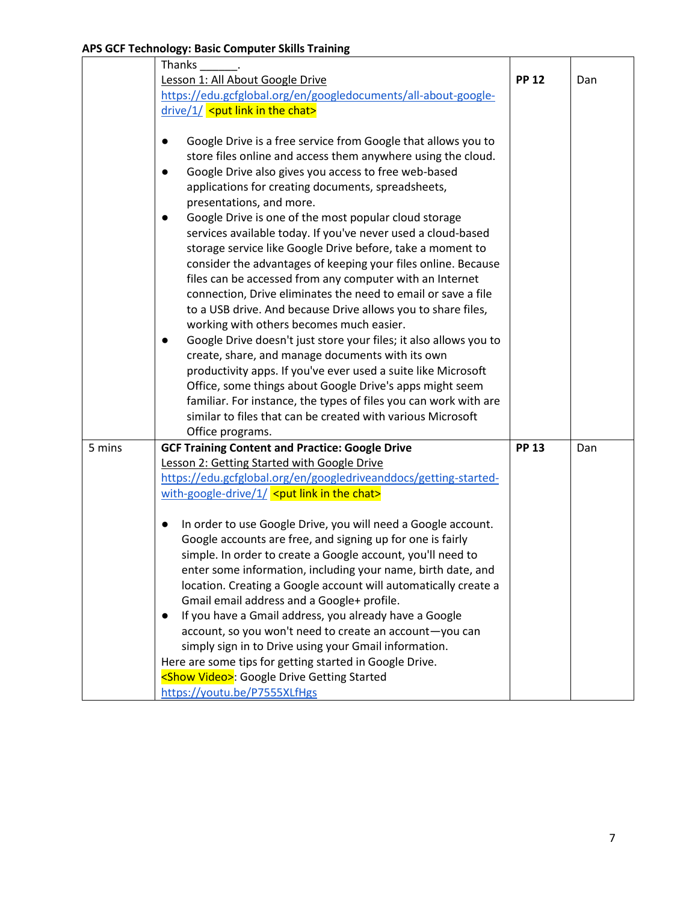|        | Thanks                                                              |              |     |  |  |
|--------|---------------------------------------------------------------------|--------------|-----|--|--|
|        | Lesson 1: All About Google Drive                                    | <b>PP 12</b> | Dan |  |  |
|        | https://edu.gcfglobal.org/en/googledocuments/all-about-google-      |              |     |  |  |
|        | $drive/1/$ <put chat="" in="" link="" the=""></put>                 |              |     |  |  |
|        |                                                                     |              |     |  |  |
|        | Google Drive is a free service from Google that allows you to       |              |     |  |  |
|        | store files online and access them anywhere using the cloud.        |              |     |  |  |
|        | Google Drive also gives you access to free web-based                |              |     |  |  |
|        | applications for creating documents, spreadsheets,                  |              |     |  |  |
|        | presentations, and more.                                            |              |     |  |  |
|        | Google Drive is one of the most popular cloud storage<br>$\bullet$  |              |     |  |  |
|        | services available today. If you've never used a cloud-based        |              |     |  |  |
|        | storage service like Google Drive before, take a moment to          |              |     |  |  |
|        | consider the advantages of keeping your files online. Because       |              |     |  |  |
|        | files can be accessed from any computer with an Internet            |              |     |  |  |
|        | connection, Drive eliminates the need to email or save a file       |              |     |  |  |
|        | to a USB drive. And because Drive allows you to share files,        |              |     |  |  |
|        | working with others becomes much easier.                            |              |     |  |  |
|        | Google Drive doesn't just store your files; it also allows you to   |              |     |  |  |
|        | create, share, and manage documents with its own                    |              |     |  |  |
|        | productivity apps. If you've ever used a suite like Microsoft       |              |     |  |  |
|        | Office, some things about Google Drive's apps might seem            |              |     |  |  |
|        | familiar. For instance, the types of files you can work with are    |              |     |  |  |
|        | similar to files that can be created with various Microsoft         |              |     |  |  |
|        | Office programs.                                                    |              |     |  |  |
| 5 mins | <b>GCF Training Content and Practice: Google Drive</b>              | <b>PP 13</b> | Dan |  |  |
|        | Lesson 2: Getting Started with Google Drive                         |              |     |  |  |
|        | https://edu.gcfglobal.org/en/googledriveanddocs/getting-started-    |              |     |  |  |
|        | with-google-drive/ $1/$ <put chat="" in="" link="" the=""></put>    |              |     |  |  |
|        | In order to use Google Drive, you will need a Google account.       |              |     |  |  |
|        | Google accounts are free, and signing up for one is fairly          |              |     |  |  |
|        | simple. In order to create a Google account, you'll need to         |              |     |  |  |
|        | enter some information, including your name, birth date, and        |              |     |  |  |
|        | location. Creating a Google account will automatically create a     |              |     |  |  |
|        | Gmail email address and a Google+ profile.                          |              |     |  |  |
|        | If you have a Gmail address, you already have a Google<br>$\bullet$ |              |     |  |  |
|        | account, so you won't need to create an account-you can             |              |     |  |  |
|        | simply sign in to Drive using your Gmail information.               |              |     |  |  |
|        | Here are some tips for getting started in Google Drive.             |              |     |  |  |
|        | <show video="">: Google Drive Getting Started</show>                |              |     |  |  |
|        | https://youtu.be/P7555XLfHgs                                        |              |     |  |  |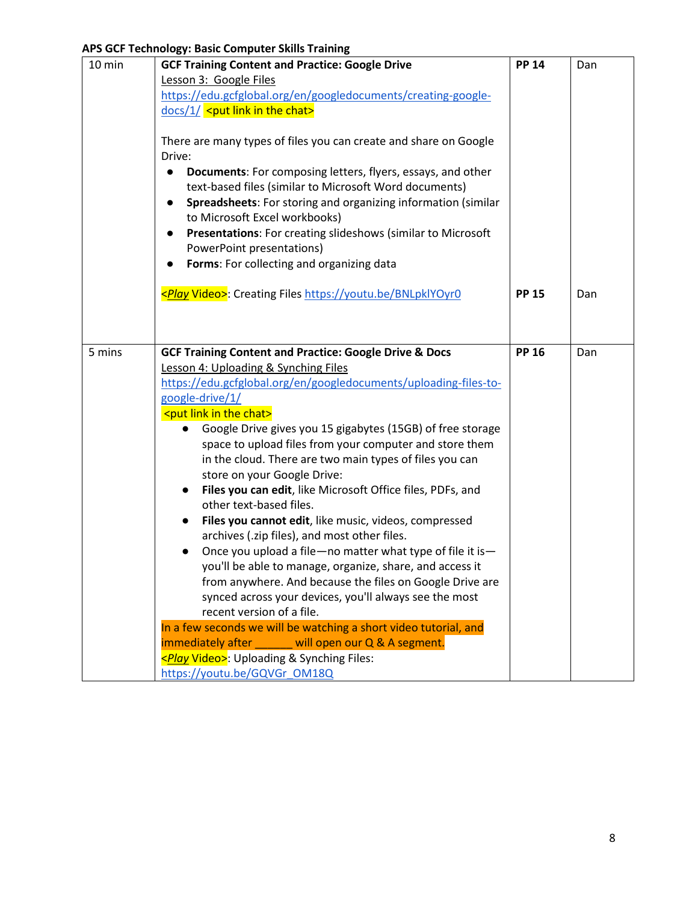|        | a b der Teenhology, basic compater signs frammig                         |              |     |
|--------|--------------------------------------------------------------------------|--------------|-----|
| 10 min | <b>GCF Training Content and Practice: Google Drive</b>                   | <b>PP 14</b> | Dan |
|        | Lesson 3: Google Files                                                   |              |     |
|        | https://edu.gcfglobal.org/en/googledocuments/creating-google-            |              |     |
|        | $\frac{docs}{1}$ <put chat="" in="" link="" the=""></put>                |              |     |
|        |                                                                          |              |     |
|        | There are many types of files you can create and share on Google         |              |     |
|        | Drive:                                                                   |              |     |
|        | Documents: For composing letters, flyers, essays, and other<br>$\bullet$ |              |     |
|        | text-based files (similar to Microsoft Word documents)                   |              |     |
|        |                                                                          |              |     |
|        | Spreadsheets: For storing and organizing information (similar            |              |     |
|        | to Microsoft Excel workbooks)                                            |              |     |
|        | Presentations: For creating slideshows (similar to Microsoft             |              |     |
|        | PowerPoint presentations)                                                |              |     |
|        | Forms: For collecting and organizing data                                |              |     |
|        |                                                                          |              |     |
|        | <play video="">: Creating Files https://youtu.be/BNLpklYOyr0</play>      | <b>PP 15</b> | Dan |
|        |                                                                          |              |     |
|        |                                                                          |              |     |
|        |                                                                          |              |     |
| 5 mins | <b>GCF Training Content and Practice: Google Drive &amp; Docs</b>        | <b>PP 16</b> | Dan |
|        | Lesson 4: Uploading & Synching Files                                     |              |     |
|        | https://edu.gcfglobal.org/en/googledocuments/uploading-files-to-         |              |     |
|        | google-drive/1/                                                          |              |     |
|        | <put chat="" in="" link="" the=""></put>                                 |              |     |
|        | Google Drive gives you 15 gigabytes (15GB) of free storage               |              |     |
|        | space to upload files from your computer and store them                  |              |     |
|        | in the cloud. There are two main types of files you can                  |              |     |
|        | store on your Google Drive:                                              |              |     |
|        | Files you can edit, like Microsoft Office files, PDFs, and               |              |     |
|        | other text-based files.                                                  |              |     |
|        |                                                                          |              |     |
|        | Files you cannot edit, like music, videos, compressed                    |              |     |
|        | archives (.zip files), and most other files.                             |              |     |
|        | Once you upload a file-no matter what type of file it is-                |              |     |
|        | you'll be able to manage, organize, share, and access it                 |              |     |
|        | from anywhere. And because the files on Google Drive are                 |              |     |
|        | synced across your devices, you'll always see the most                   |              |     |
|        | recent version of a file.                                                |              |     |
|        | In a few seconds we will be watching a short video tutorial, and         |              |     |
|        | immediately after will open our Q & A segment.                           |              |     |
|        | <play video="">: Uploading &amp; Synching Files:</play>                  |              |     |
|        | https://youtu.be/GQVGr_OM18Q                                             |              |     |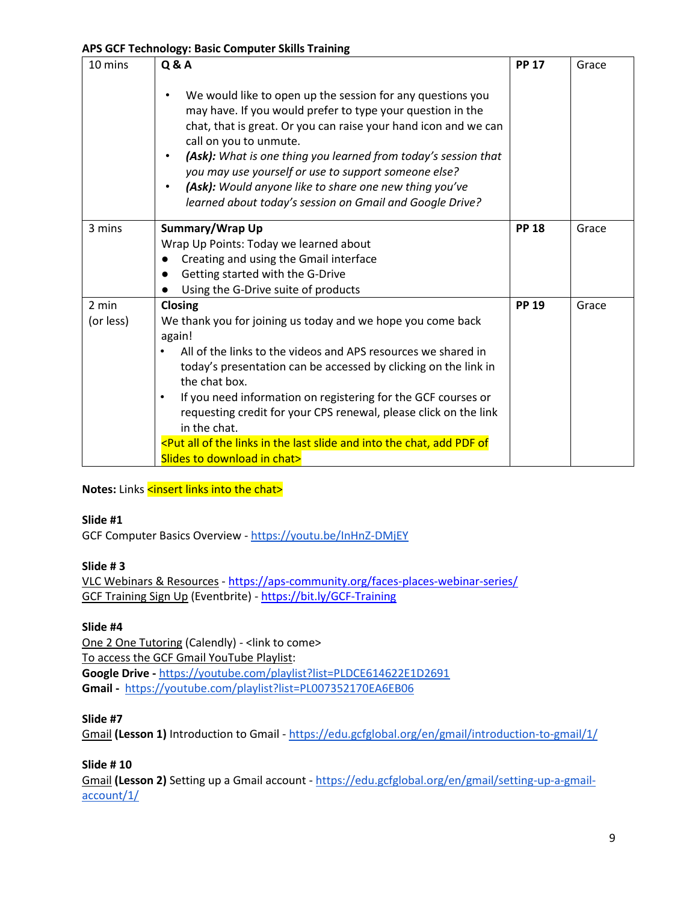| 10 mins   | <b>Q&amp;A</b>                                                                                                                                                                                                                                                                                                                                                                                                                                                                                  | <b>PP 17</b> | Grace |
|-----------|-------------------------------------------------------------------------------------------------------------------------------------------------------------------------------------------------------------------------------------------------------------------------------------------------------------------------------------------------------------------------------------------------------------------------------------------------------------------------------------------------|--------------|-------|
|           | We would like to open up the session for any questions you<br>may have. If you would prefer to type your question in the<br>chat, that is great. Or you can raise your hand icon and we can<br>call on you to unmute.<br>(Ask): What is one thing you learned from today's session that<br>$\bullet$<br>you may use yourself or use to support someone else?<br>(Ask): Would anyone like to share one new thing you've<br>$\bullet$<br>learned about today's session on Gmail and Google Drive? |              |       |
| 3 mins    | Summary/Wrap Up                                                                                                                                                                                                                                                                                                                                                                                                                                                                                 | <b>PP 18</b> | Grace |
|           | Wrap Up Points: Today we learned about                                                                                                                                                                                                                                                                                                                                                                                                                                                          |              |       |
|           | Creating and using the Gmail interface                                                                                                                                                                                                                                                                                                                                                                                                                                                          |              |       |
|           | Getting started with the G-Drive<br>$\bullet$                                                                                                                                                                                                                                                                                                                                                                                                                                                   |              |       |
|           | Using the G-Drive suite of products<br>$\bullet$                                                                                                                                                                                                                                                                                                                                                                                                                                                |              |       |
| 2 min     | Closing                                                                                                                                                                                                                                                                                                                                                                                                                                                                                         | <b>PP 19</b> | Grace |
| (or less) | We thank you for joining us today and we hope you come back                                                                                                                                                                                                                                                                                                                                                                                                                                     |              |       |
|           | again!                                                                                                                                                                                                                                                                                                                                                                                                                                                                                          |              |       |
|           | All of the links to the videos and APS resources we shared in                                                                                                                                                                                                                                                                                                                                                                                                                                   |              |       |
|           | today's presentation can be accessed by clicking on the link in                                                                                                                                                                                                                                                                                                                                                                                                                                 |              |       |
|           | the chat box.                                                                                                                                                                                                                                                                                                                                                                                                                                                                                   |              |       |
|           | If you need information on registering for the GCF courses or<br>$\bullet$                                                                                                                                                                                                                                                                                                                                                                                                                      |              |       |
|           | requesting credit for your CPS renewal, please click on the link                                                                                                                                                                                                                                                                                                                                                                                                                                |              |       |
|           | in the chat.                                                                                                                                                                                                                                                                                                                                                                                                                                                                                    |              |       |
|           | <put add="" all="" and="" chat,="" in="" into="" last="" links="" of="" of<="" pdf="" slide="" td="" the=""><td></td><td></td></put>                                                                                                                                                                                                                                                                                                                                                            |              |       |
|           | Slides to download in chat>                                                                                                                                                                                                                                                                                                                                                                                                                                                                     |              |       |

### **Notes:** Links <insert links into the chat>

#### **Slide #1**

GCF Computer Basics Overview - <https://youtu.be/InHnZ-DMjEY>

### **Slide # 3**

VLC Webinars & Resources - <https://aps-community.org/faces-places-webinar-series/> GCF Training Sign Up (Eventbrite) - [https://bit.ly/GCF-Training](https://nam02.safelinks.protection.outlook.com/?url=https%3A%2F%2Fbit.ly%2FGCF-Training&data=04%7C01%7Cspagnoam%40shp.rutgers.edu%7Ca771708c45ee45bfa8b908d97d2b744f%7Cb92d2b234d35447093ff69aca6632ffe%7C1%7C0%7C637678447859905937%7CUnknown%7CTWFpbGZsb3d8eyJWIjoiMC4wLjAwMDAiLCJQIjoiV2luMzIiLCJBTiI6Ik1haWwiLCJXVCI6Mn0%3D%7C1000&sdata=0tl1qWs56sKGwpa0dIhCG6bx7PzkwdcuGU3Z%2FvBVR7Y%3D&reserved=0)

### **Slide #4**

One 2 One Tutoring (Calendly) - <link to come> To access the GCF Gmail YouTube Playlist: **Google Drive -** <https://youtube.com/playlist?list=PLDCE614622E1D2691> **Gmail -** <https://youtube.com/playlist?list=PL007352170EA6EB06>

### **Slide #7**

Gmail **(Lesson 1)** Introduction to Gmail - <https://edu.gcfglobal.org/en/gmail/introduction-to-gmail/1/>

### **Slide # 10**

Gmail **(Lesson 2)** Setting up a Gmail account - [https://edu.gcfglobal.org/en/gmail/setting-up-a-gmail](https://edu.gcfglobal.org/en/gmail/setting-up-a-gmail-account/1/)[account/1/](https://edu.gcfglobal.org/en/gmail/setting-up-a-gmail-account/1/)